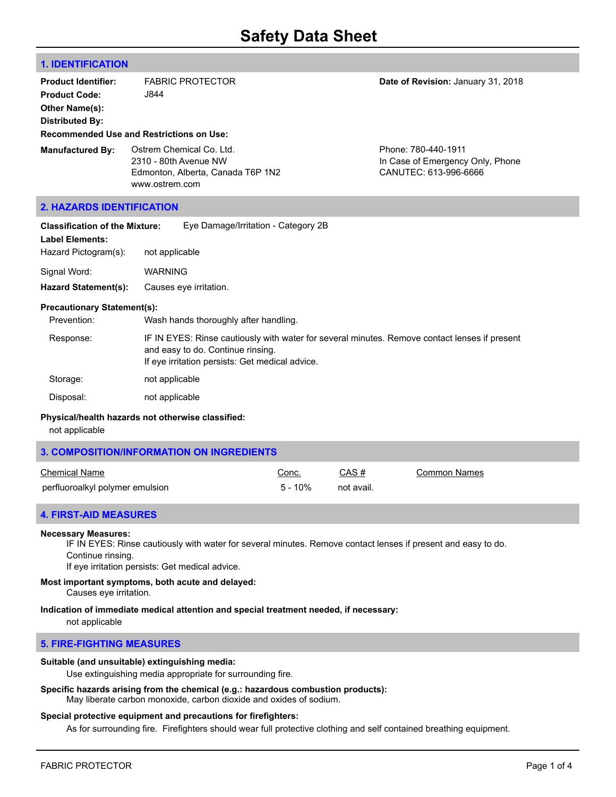# **1. IDENTIFICATION**

| <b>Product Identifier:</b><br><b>Product Code:</b><br>Other Name(s):<br><b>Distributed By:</b><br><b>Recommended Use and Restrictions on Use:</b> | J844                                    | <b>FABRIC PROTECTOR</b>                                       | Date of Revision: January 31, 2018                                               |
|---------------------------------------------------------------------------------------------------------------------------------------------------|-----------------------------------------|---------------------------------------------------------------|----------------------------------------------------------------------------------|
| <b>Manufactured By:</b>                                                                                                                           | 2310 - 80th Avenue NW<br>www.ostrem.com | Ostrem Chemical Co. Ltd.<br>Edmonton, Alberta, Canada T6P 1N2 | Phone: 780-440-1911<br>In Case of Emergency Only, Phone<br>CANUTEC: 613-996-6666 |
| <b>2. HAZARDS IDENTIFICATION</b>                                                                                                                  |                                         |                                                               |                                                                                  |
| <b>Classification of the Mixture:</b><br><b>Label Elements:</b><br>Hazard Pictogram(s):                                                           | not applicable                          | Eye Damage/Irritation - Category 2B                           |                                                                                  |

Signal Word: WARNING

**Hazard Statement(s):** Causes eye irritation.

# **Precautionary Statement(s):**

| Prevention: | Wash hands thoroughly after handling.                                                                                                                                                 |
|-------------|---------------------------------------------------------------------------------------------------------------------------------------------------------------------------------------|
| Response:   | IF IN EYES: Rinse cautiously with water for several minutes. Remove contact lenses if present<br>and easy to do. Continue rinsing.<br>If eye irritation persists: Get medical advice. |
| $\sim$      |                                                                                                                                                                                       |

Storage: not applicable Disposal: not applicable

# **Physical/health hazards not otherwise classified:**

not applicable

| <b>3. COMPOSITION/INFORMATION ON INGREDIENTS</b> |            |            |              |
|--------------------------------------------------|------------|------------|--------------|
| Chemical Name                                    | Conc.      | CAS#       | Common Names |
| perfluoroalkyl polymer emulsion                  | $5 - 10\%$ | not avail. |              |

# **4. FIRST-AID MEASURES**

#### **Necessary Measures:**

IF IN EYES: Rinse cautiously with water for several minutes. Remove contact lenses if present and easy to do. Continue rinsing.

If eye irritation persists: Get medical advice.

#### **Most important symptoms, both acute and delayed:** Causes eye irritation.

#### **Indication of immediate medical attention and special treatment needed, if necessary:**

not applicable

# **5. FIRE-FIGHTING MEASURES**

# **Suitable (and unsuitable) extinguishing media:**

Use extinguishing media appropriate for surrounding fire.

# **Specific hazards arising from the chemical (e.g.: hazardous combustion products):**

May liberate carbon monoxide, carbon dioxide and oxides of sodium.

#### **Special protective equipment and precautions for firefighters:**

As for surrounding fire. Firefighters should wear full protective clothing and self contained breathing equipment.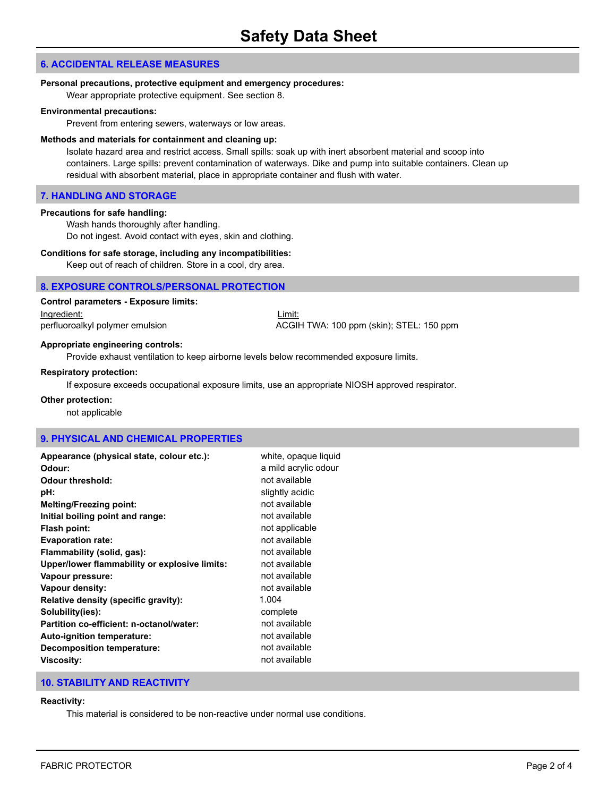# **6. ACCIDENTAL RELEASE MEASURES**

#### **Personal precautions, protective equipment and emergency procedures:**

Wear appropriate protective equipment. See section 8.

#### **Environmental precautions:**

Prevent from entering sewers, waterways or low areas.

#### **Methods and materials for containment and cleaning up:**

Isolate hazard area and restrict access. Small spills: soak up with inert absorbent material and scoop into containers. Large spills: prevent contamination of waterways. Dike and pump into suitable containers. Clean up residual with absorbent material, place in appropriate container and flush with water.

# **7. HANDLING AND STORAGE**

#### **Precautions for safe handling:**

Wash hands thoroughly after handling. Do not ingest. Avoid contact with eyes, skin and clothing.

#### **Conditions for safe storage, including any incompatibilities:**

Keep out of reach of children. Store in a cool, dry area.

#### **8. EXPOSURE CONTROLS/PERSONAL PROTECTION**

# **Control parameters - Exposure limits:**

Ingredient: Limit:

perfluoroalkyl polymer emulsion ACGIH TWA: 100 ppm (skin); STEL: 150 ppm

#### **Appropriate engineering controls:**

Provide exhaust ventilation to keep airborne levels below recommended exposure limits.

#### **Respiratory protection:**

If exposure exceeds occupational exposure limits, use an appropriate NIOSH approved respirator.

#### **Other protection:**

not applicable

#### **9. PHYSICAL AND CHEMICAL PROPERTIES**

| Appearance (physical state, colour etc.):     | white, opaque liquid |
|-----------------------------------------------|----------------------|
| Odour:                                        | a mild acrylic odour |
| Odour threshold:                              | not available        |
| pH:                                           | slightly acidic      |
| <b>Melting/Freezing point:</b>                | not available        |
| Initial boiling point and range:              | not available        |
| Flash point:                                  | not applicable       |
| <b>Evaporation rate:</b>                      | not available        |
| Flammability (solid, gas):                    | not available        |
| Upper/lower flammability or explosive limits: | not available        |
| Vapour pressure:                              | not available        |
| Vapour density:                               | not available        |
| Relative density (specific gravity):          | 1.004                |
| Solubility(ies):                              | complete             |
| Partition co-efficient: n-octanol/water:      | not available        |
| Auto-ignition temperature:                    | not available        |
| Decomposition temperature:                    | not available        |
| <b>Viscosity:</b>                             | not available        |
|                                               |                      |

# **10. STABILITY AND REACTIVITY**

# **Reactivity:**

This material is considered to be non-reactive under normal use conditions.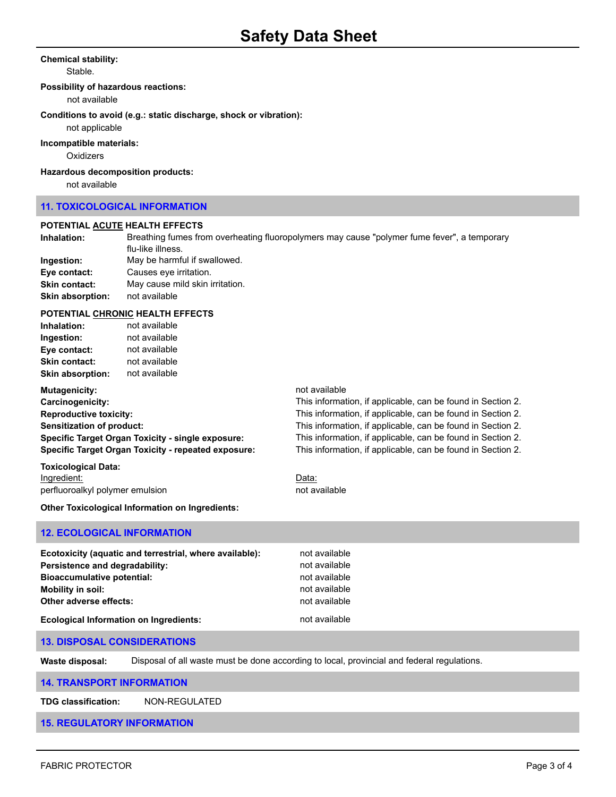#### **Chemical stability:**

Stable.

#### **Possibility of hazardous reactions:**

not available

# **Conditions to avoid (e.g.: static discharge, shock or vibration):**

not applicable

#### **Incompatible materials:**

**Oxidizers** 

#### **Hazardous decomposition products:**

not available

# **11. TOXICOLOGICAL INFORMATION**

#### **POTENTIAL ACUTE HEALTH EFFECTS**

| Inhalation:             | Breathing fumes from overheating fluoropolymers may cause "polymer fume fever", a temporary |
|-------------------------|---------------------------------------------------------------------------------------------|
|                         | flu-like illness.                                                                           |
| Ingestion:              | May be harmful if swallowed.                                                                |
| Eye contact:            | Causes eye irritation.                                                                      |
| <b>Skin contact:</b>    | May cause mild skin irritation.                                                             |
| <b>Skin absorption:</b> | not available                                                                               |

#### **POTENTIAL CHRONIC HEALTH EFFECTS**

| Inhalation:              | not available |  |
|--------------------------|---------------|--|
| Ingestion:               | not available |  |
| Eye contact:             | not available |  |
| <b>Skin contact:</b>     | not available |  |
| Skin absorption:         | not available |  |
| <b>Marshamman Lather</b> |               |  |

| Mutagenicity:                                              | not available                                               |
|------------------------------------------------------------|-------------------------------------------------------------|
| Carcinogenicity:                                           | This information, if applicable, can be found in Section 2. |
| <b>Reproductive toxicity:</b>                              | This information, if applicable, can be found in Section 2. |
| <b>Sensitization of product:</b>                           | This information, if applicable, can be found in Section 2. |
| Specific Target Organ Toxicity - single exposure:          | This information, if applicable, can be found in Section 2. |
| <b>Specific Target Organ Toxicity - repeated exposure:</b> | This information, if applicable, can be found in Section 2. |
|                                                            |                                                             |

**Toxicological Data:** Ingredient: **Data:** Data: **Data:** Data: **Data:** Data: **Data:** Data: **Data:** Data: **Data:** 2014 perfluoroalkyl polymer emulsion not available not available

**Other Toxicological Information on Ingredients:**

# **12. ECOLOGICAL INFORMATION**

| Ecotoxicity (aquatic and terrestrial, where available): | not available |
|---------------------------------------------------------|---------------|
| Persistence and degradability:                          | not available |
| <b>Bioaccumulative potential:</b>                       | not available |
| <b>Mobility in soil:</b>                                | not available |
| Other adverse effects:                                  | not available |
| <b>Ecological Information on Ingredients:</b>           | not available |

# **13. DISPOSAL CONSIDERATIONS**

**Waste disposal:** Disposal of all waste must be done according to local, provincial and federal regulations.

#### **14. TRANSPORT INFORMATION**

**TDG classification:** NON-REGULATED

# **15. REGULATORY INFORMATION**